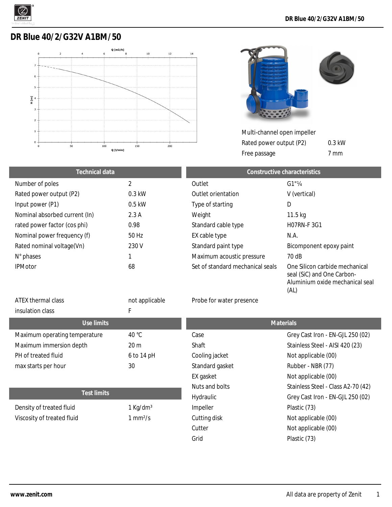

## **DR Blue 40/2/G32V A1BM/50**





Multi-channel open impeller Rated power output (P2)

Free passage

Cutter Not applicable (00)

Grid Plastic (73)

0.3 kW 7 mm

Aluminium oxide mechanical seal

| Technical data                |          | Constructive characteristics     |                                                              |
|-------------------------------|----------|----------------------------------|--------------------------------------------------------------|
| Number of poles               | 2        | Outlet                           | $G1''\%$                                                     |
| Rated power output (P2)       | $0.3$ kW | Outlet orientation               | V (vertical)                                                 |
| Input power (P1)              | $0.5$ kW | Type of starting                 | D                                                            |
| Nominal absorbed current (In) | 2.3A     | Weight                           | 11.5 <sub>kq</sub>                                           |
| rated power factor (cos phi)  | 0.98     | Standard cable type              | <b>HO7RN-F3G1</b>                                            |
| Nominal power frequency (f)   | 50 Hz    | EX cable type                    | N.A.                                                         |
| Rated nominal voltage(Vn)     | 230 V    | Standard paint type              | Bicomponent epoxy paint                                      |
| N° phases                     |          | Maximum acoustic pressure        | 70 dB                                                        |
| <b>IPMotor</b>                | 68       | Set of standard mechanical seals | One Silicon carbide mechanical<br>seal (SiC) and One Carbon- |

|                               |                        |                          | (AL)                               |
|-------------------------------|------------------------|--------------------------|------------------------------------|
| ATEX thermal class            | not applicable         | Probe for water presence |                                    |
| insulation class              | F                      |                          |                                    |
| Use limits                    |                        |                          | <b>Materials</b>                   |
| Maximum operating temperature | 40 °C                  | Case                     | Grey Cast Iron - EN-GJL 250 (02)   |
| Maximum immersion depth       | 20 <sub>m</sub>        | Shaft                    | Stainless Steel - AISI 420 (23)    |
| PH of treated fluid           | 6 to 14 pH             | Cooling jacket           | Not applicable (00)                |
| max starts per hour           | 30                     | Standard gasket          | Rubber - NBR (77)                  |
|                               |                        | EX gasket                | Not applicable (00)                |
|                               |                        | Nuts and bolts           | Stainless Steel - Class A2-70 (42) |
| <b>Test limits</b>            |                        | Hydraulic                | Grey Cast Iron - EN-GJL 250 (02)   |
| Density of treated fluid      | $1$ Kg/dm <sup>3</sup> | Impeller                 | Plastic (73)                       |
| Viscosity of treated fluid    | $1$ mm <sup>2</sup> /s | Cutting disk             | Not applicable (00)                |